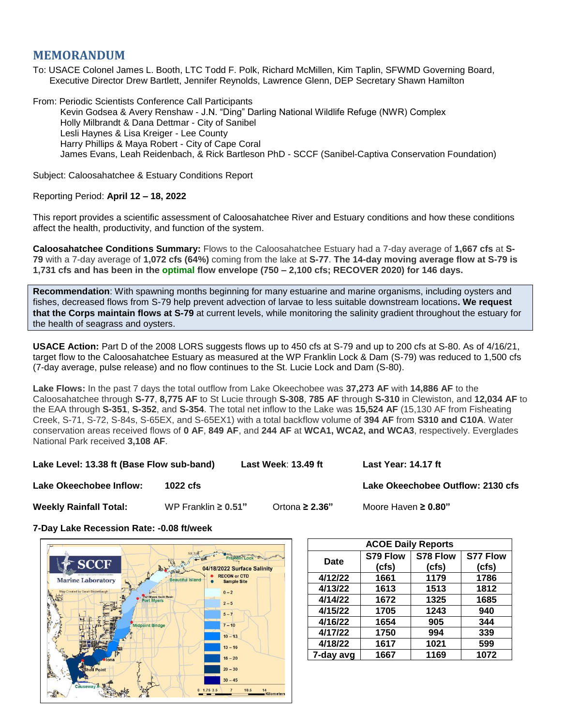## **MEMORANDUM**

To: USACE Colonel James L. Booth, LTC Todd F. Polk, Richard McMillen, Kim Taplin, SFWMD Governing Board, Executive Director Drew Bartlett, Jennifer Reynolds, Lawrence Glenn, DEP Secretary Shawn Hamilton

From: Periodic Scientists Conference Call Participants Kevin Godsea & Avery Renshaw - J.N. "Ding" Darling National Wildlife Refuge (NWR) Complex Holly Milbrandt & Dana Dettmar - City of Sanibel Lesli Haynes & Lisa Kreiger - Lee County Harry Phillips & Maya Robert - City of Cape Coral James Evans, Leah Reidenbach, & Rick Bartleson PhD - SCCF (Sanibel-Captiva Conservation Foundation)

Subject: Caloosahatchee & Estuary Conditions Report

## Reporting Period: **April 12 – 18, 2022**

This report provides a scientific assessment of Caloosahatchee River and Estuary conditions and how these conditions affect the health, productivity, and function of the system.

**Caloosahatchee Conditions Summary:** Flows to the Caloosahatchee Estuary had a 7-day average of **1,667 cfs** at **S-79** with a 7-day average of **1,072 cfs (64%)** coming from the lake at **S-77**. **The 14-day moving average flow at S-79 is 1,731 cfs and has been in the optimal flow envelope (750 – 2,100 cfs; RECOVER 2020) for 146 days.**

**Recommendation**: With spawning months beginning for many estuarine and marine organisms, including oysters and fishes, decreased flows from S-79 help prevent advection of larvae to less suitable downstream locations**. We request that the Corps maintain flows at S-79** at current levels, while monitoring the salinity gradient throughout the estuary for the health of seagrass and oysters.

**USACE Action:** Part D of the 2008 LORS suggests flows up to 450 cfs at S-79 and up to 200 cfs at S-80. As of 4/16/21, target flow to the Caloosahatchee Estuary as measured at the WP Franklin Lock & Dam (S-79) was reduced to 1,500 cfs (7-day average, pulse release) and no flow continues to the St. Lucie Lock and Dam (S-80).

**Lake Flows:** In the past 7 days the total outflow from Lake Okeechobee was **37,273 AF** with **14,886 AF** to the Caloosahatchee through **S-77**, **8,775 AF** to St Lucie through **S-308**, **785 AF** through **S-310** in Clewiston, and **12,034 AF** to the EAA through **S-351**, **S-352**, and **S-354**. The total net inflow to the Lake was **15,524 AF** (15,130 AF from Fisheating Creek, S-71, S-72, S-84s, S-65EX, and S-65EX1) with a total backflow volume of **394 AF** from **S310 and C10A**. Water conservation areas received flows of **0 AF**, **849 AF**, and **244 AF** at **WCA1, WCA2, and WCA3**, respectively. Everglades National Park received **3,108 AF**.

**Lake Level: 13.38 ft (Base Flow sub-band) Last Week**: **13.49 ft Last Year: 14.17 ft**

**Lake Okeechobee Inflow: 1022 cfs Lake Okeechobee Outflow: 2130 cfs**

**Weekly Rainfall Total:** WP Franklin **≥ 0.51"** Ortona **≥ 2.36"** Moore Haven **≥ 0.80"**

**7-Day Lake Recession Rate: -0.08 ft/week**



| <b>ACOE Daily Reports</b> |          |          |                 |  |  |  |
|---------------------------|----------|----------|-----------------|--|--|--|
| Date                      | S79 Flow | S78 Flow | <b>S77 Flow</b> |  |  |  |
|                           | (cfs)    | (cfs)    | (cfs)           |  |  |  |
| 4/12/22                   | 1661     | 1179     | 1786            |  |  |  |
| 4/13/22                   | 1613     | 1513     | 1812            |  |  |  |
| 4/14/22                   | 1672     | 1325     | 1685            |  |  |  |
| 4/15/22                   | 1705     | 1243     | 940             |  |  |  |
| 4/16/22                   | 1654     | 905      | 344             |  |  |  |
| 4/17/22                   | 1750     | 994      | 339             |  |  |  |
| 4/18/22                   | 1617     | 1021     | 599             |  |  |  |
| 7-day avg                 | 1667     | 1169     | 1072            |  |  |  |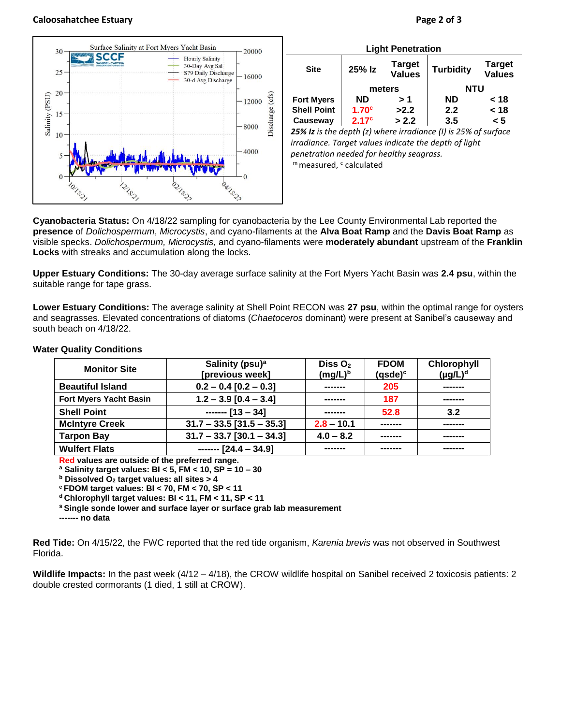## **Caloosahatchee Estuary Page 2 of 3**



| <b>Light Penetration</b>                                       |                   |                                |                  |                                |  |  |
|----------------------------------------------------------------|-------------------|--------------------------------|------------------|--------------------------------|--|--|
| <b>Site</b>                                                    | 25% Iz            | <b>Target</b><br><b>Values</b> | <b>Turbidity</b> | <b>Target</b><br><b>Values</b> |  |  |
|                                                                | meters            |                                | NTU              |                                |  |  |
| <b>Fort Myers</b>                                              | <b>ND</b>         | > 1                            | <b>ND</b>        | < 18                           |  |  |
| <b>Shell Point</b>                                             | 1.70 <sup>c</sup> | >2.2                           | 2.2              | < 18                           |  |  |
| Causeway                                                       | 2.17 <sup>c</sup> | > 2.2                          | 3.5              | < 5                            |  |  |
| 25% Iz is the depth (z) where irradiance (I) is 25% of surface |                   |                                |                  |                                |  |  |

*25% Iz is the depth (z) where irradiance (I) is 25% of surface irradiance. Target values indicate the depth of light penetration needed for healthy seagrass.* m measured, c calculated

**Cyanobacteria Status:** On 4/18/22 sampling for cyanobacteria by the Lee County Environmental Lab reported the **presence** of *Dolichospermum*, *Microcystis*, and cyano-filaments at the **Alva Boat Ramp** and the **Davis Boat Ramp** as visible specks. *Dolichospermum, Microcystis,* and cyano-filaments were **moderately abundant** upstream of the **Franklin Locks** with streaks and accumulation along the locks.

**Upper Estuary Conditions:** The 30-day average surface salinity at the Fort Myers Yacht Basin was **2.4 psu**, within the suitable range for tape grass.

**Lower Estuary Conditions:** The average salinity at Shell Point RECON was **27 psu**, within the optimal range for oysters and seagrasses. Elevated concentrations of diatoms (*Chaetoceros* dominant) were present at Sanibel's causeway and south beach on 4/18/22.

| <b>Monitor Site</b>           | Salinity (psu) <sup>a</sup><br>Diss $O2$<br>[previous week]<br>$(mg/L)^b$ |              | <b>FDOM</b><br>$(gsde)^c$ | Chlorophyll<br>$(\mu g/L)^d$ |
|-------------------------------|---------------------------------------------------------------------------|--------------|---------------------------|------------------------------|
| <b>Beautiful Island</b>       | $0.2 - 0.4$ [0.2 - 0.3]                                                   | -------      |                           | -------                      |
| <b>Fort Myers Yacht Basin</b> | $1.2 - 3.9$ [0.4 - 3.4]                                                   | -------      | 187                       | -------                      |
| <b>Shell Point</b>            | $---$ [13 - 34]                                                           | -------      | 52.8                      | 3.2                          |
| <b>McIntyre Creek</b>         | $31.7 - 33.5$ [31.5 - 35.3]                                               | $2.8 - 10.1$ |                           | -------                      |
| <b>Tarpon Bay</b>             | $31.7 - 33.7$ [30.1 - 34.3]                                               | $4.0 - 8.2$  |                           | -------                      |
| <b>Wulfert Flats</b>          | $---$ [24.4 - 34.9]                                                       |              |                           |                              |

## **Water Quality Conditions**

**Red values are outside of the preferred range.**

**<sup>a</sup> Salinity target values: BI < 5, FM < 10, SP = 10 – 30**

**<sup>b</sup> Dissolved O<sup>2</sup> target values: all sites > 4**

**<sup>c</sup> FDOM target values: BI < 70, FM < 70, SP < 11**

**<sup>d</sup> Chlorophyll target values: BI < 11, FM < 11, SP < 11** 

**<sup>s</sup> Single sonde lower and surface layer or surface grab lab measurement**

**------- no data**

**Red Tide:** On 4/15/22, the FWC reported that the red tide organism, *Karenia brevis* was not observed in Southwest Florida.

**Wildlife Impacts:** In the past week (4/12 – 4/18), the CROW wildlife hospital on Sanibel received 2 toxicosis patients: 2 double crested cormorants (1 died, 1 still at CROW).